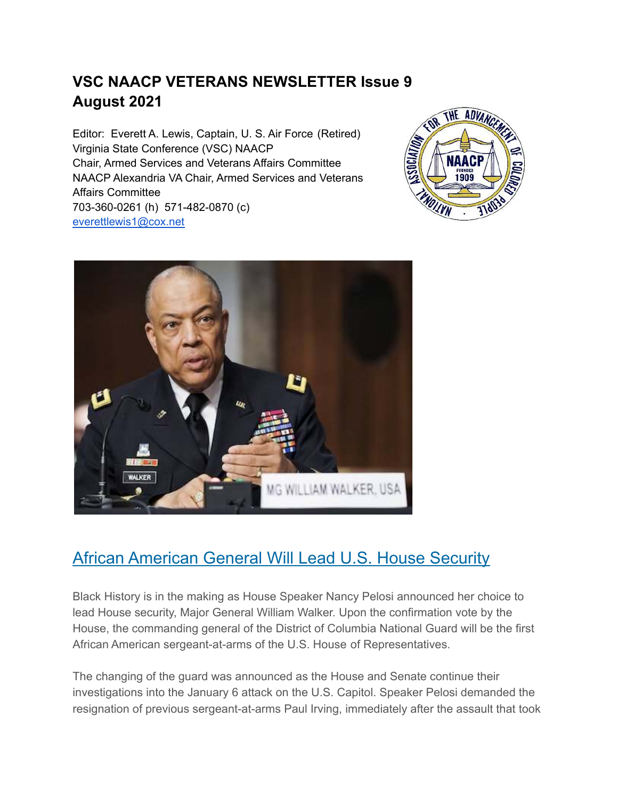#### **VSC NAACP VETERANS NEWSLETTER Issue 9 August 2021**

Editor: Everett A. Lewis, Captain, U. S. Air Force (Retired) Virginia State Conference (VSC) NAACP Chair, Armed Services and Veterans Affairs Committee NAACP Alexandria VA Chair, Armed Services and Veterans Affairs Committee 703-360-0261 (h) 571-482-0870 (c) [everettlewis1@cox.net](mailto:everettlewis1@cox.net)





#### [African American General Will Lead U.S. House Security](https://link.blackamericaweb.com/click/23357456.28250/aHR0cHM6Ly9hcG5ld3MuY29tL2FydGljbGUvY2FwaXRvbC1zaWVnZS1wb2xpdGljcy1sZWdpc2xhdGlvbi1tdXJpZWwtYm93c2VyLW5hbmN5LXBlbG9zaS0wOGNlMzUwZDQ1ZjEyZDJiMTIxMTI4ZjQ2ZGZmOGYzNw/53a4104c9dbcd44d4f001e54Cd811e0f1)

Black History is in the making as House Speaker Nancy Pelosi announced her choice to lead House security, Major General William Walker. Upon the confirmation vote by the House, the commanding general of the District of Columbia National Guard will be the first African American sergeant-at-arms of the U.S. House of Representatives.

The changing of the guard was announced as the House and Senate continue their investigations into the January 6 attack on the U.S. Capitol. Speaker Pelosi demanded the resignation of previous sergeant-at-arms Paul Irving, immediately after the assault that took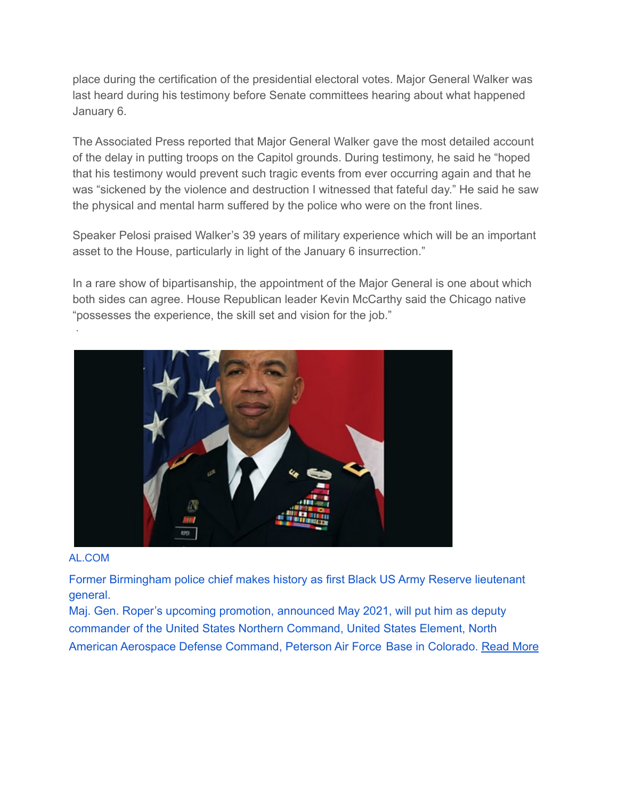place during the certification of the presidential electoral votes. Major General Walker was last heard during his testimony before Senate committees hearing about what happened January 6.

The Associated Press reported that Major General Walker gave the most detailed account of the delay in putting troops on the Capitol grounds. During testimony, he said he "hoped that his testimony would prevent such tragic events from ever occurring again and that he was "sickened by the violence and destruction I witnessed that fateful day." He said he saw the physical and mental harm suffered by the police who were on the front lines.

Speaker Pelosi praised Walker's 39 years of military experience which will be an important asset to the House, particularly in light of the January 6 insurrection."

In a rare show of bipartisanship, the appointment of the Major General is one about which both sides can agree. House Republican leader Kevin McCarthy said the Chicago native "possesses the experience, the skill set and vision for the job."



#### [AL.COM](https://www.al.com/news/birmingham/2021/05/former-birmingham-police-chief-makes-history-as-first-african-american-us-army-reserve-lieutenant-general.html?fbclid=IwAR2pn4GFMapKH4GAMtBF_C9SH18K9W8h3IjxvJg6WmGveHLHR8B9PQjYI0I)

·

[Former Birmingham police chief makes history as first Black US Army Reserve lieutenant](https://www.al.com/news/birmingham/2021/05/former-birmingham-police-chief-makes-history-as-first-african-american-us-army-reserve-lieutenant-general.html?fbclid=IwAR2pn4GFMapKH4GAMtBF_C9SH18K9W8h3IjxvJg6WmGveHLHR8B9PQjYI0I) [general.](https://www.al.com/news/birmingham/2021/05/former-birmingham-police-chief-makes-history-as-first-african-american-us-army-reserve-lieutenant-general.html?fbclid=IwAR2pn4GFMapKH4GAMtBF_C9SH18K9W8h3IjxvJg6WmGveHLHR8B9PQjYI0I)

[Maj. Gen. Roper's upcoming promotion, announced May 2021, will put him as deputy](https://www.al.com/news/birmingham/2021/05/former-birmingham-police-chief-makes-history-as-first-african-american-us-army-reserve-lieutenant-general.html?fbclid=IwAR2pn4GFMapKH4GAMtBF_C9SH18K9W8h3IjxvJg6WmGveHLHR8B9PQjYI0I) [commander of the United States Northern Command, United States Element, North](https://www.al.com/news/birmingham/2021/05/former-birmingham-police-chief-makes-history-as-first-african-american-us-army-reserve-lieutenant-general.html?fbclid=IwAR2pn4GFMapKH4GAMtBF_C9SH18K9W8h3IjxvJg6WmGveHLHR8B9PQjYI0I) [American Aerospace Defense Command, Peterson Air Force Base in Colorado. Read More](https://www.al.com/news/birmingham/2021/05/former-birmingham-police-chief-makes-history-as-first-african-american-us-army-reserve-lieutenant-general.html?fbclid=IwAR2pn4GFMapKH4GAMtBF_C9SH18K9W8h3IjxvJg6WmGveHLHR8B9PQjYI0I)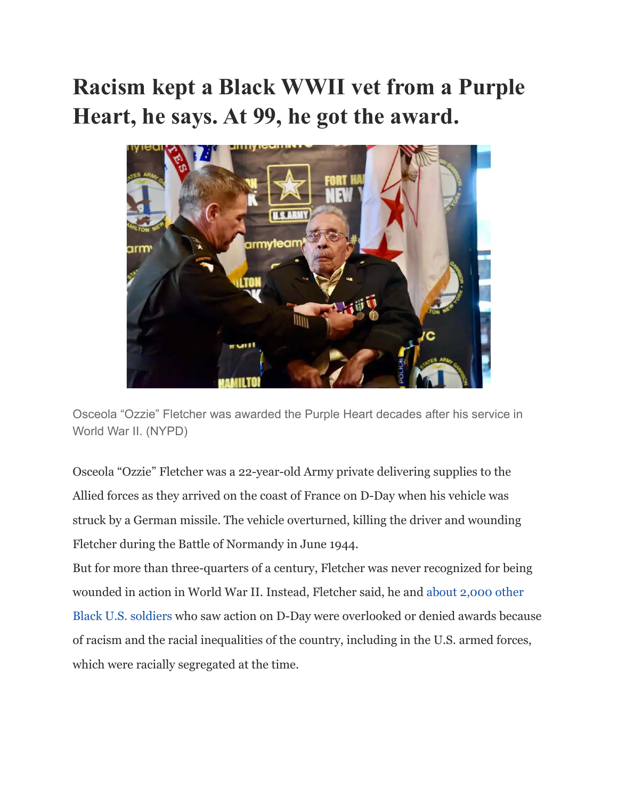## **Racism kept a Black WWII vet from a Purple Heart, he says. At 99, he got the award.**



Osceola "Ozzie" Fletcher was awarded the Purple Heart decades after his service in World War II. (NYPD)

Osceola "Ozzie" Fletcher was a 22-year-old Army private delivering supplies to the Allied forces as they arrived on the coast of France on D-Day when his vehicle was struck by a German missile. The vehicle overturned, killing the driver and wounding Fletcher during the Battle of Normandy in June 1944.

But for more than three-quarters of a century, Fletcher was never recognized for being wounded in action in World War II. Instead, Fletcher said, he and [about 2,000 other](https://www.army.mil/article/245641/world_war_ii_veterans_to_receive_purple_hearts_decades_after_war) [Black U.S. soldiers](https://www.army.mil/article/245641/world_war_ii_veterans_to_receive_purple_hearts_decades_after_war) who saw action on D-Day were overlooked or denied awards because of racism and the racial inequalities of the country, including in the U.S. armed forces, which were racially segregated at the time.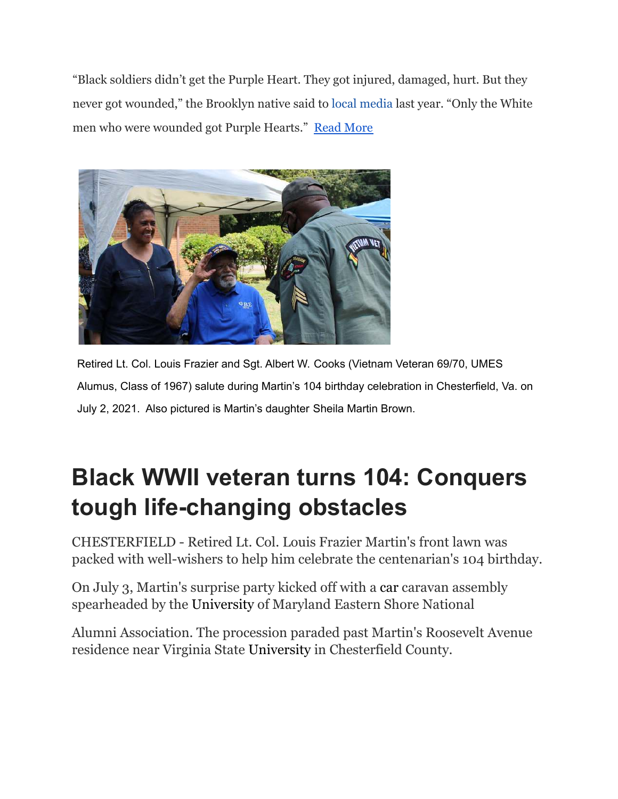"Black soldiers didn't get the Purple Heart. They got injured, damaged, hurt. But they never got wounded," the Brooklyn native said to [local media](https://www.ourtimepress.com/a-salute-to-brooklyn-veterans/) last year. "Only the White men who were wounded got Purple Hearts." [Read More](https://www.washingtonpost.com/nation/2021/06/19/purple-heart-black-veteran-fletcher/?utm_campaign=wp_post_most&utm_medium=email&utm_source=newsletter&wpisrc=nl_most&carta-url=https%3A%2F%2Fs2.washingtonpost.com%2Fcar-ln-tr%2F33dfa99%2F60cf61639d2fdae302875096%2F596d993fae7e8a1845f9add7%2F37%2F70%2F60cf61639d2fdae302875096)



Retired Lt. Col. Louis Frazier and Sgt. Albert W. Cooks (Vietnam Veteran 69/70, UMES Alumus, Class of 1967) salute during Martin's 104 birthday celebration in Chesterfield, Va. on July 2, 2021. Also pictured is Martin's daughter Sheila Martin Brown.

# **[Black WWII veteran turns 104: Conquers](https://cl.exct.net/?qs=47cf65dfb9f7ac1e0e2bea3baddab18e41422d9889b67bee775b80c6c194eb63e6971941b82af921e06cd7697db66ef02a9eb3db9bdaac918e24a776e878c43f) [tough life-changing obstacles](https://cl.exct.net/?qs=47cf65dfb9f7ac1e0e2bea3baddab18e41422d9889b67bee775b80c6c194eb63e6971941b82af921e06cd7697db66ef02a9eb3db9bdaac918e24a776e878c43f)**

CHESTERFIELD - Retired Lt. Col. Louis Frazier Martin's front lawn was packed with well-wishers to help him celebrate the centenarian's 104 birthday.

On July 3, Martin's surprise party kicked off with a [car](https://www.google.com/search?tbm=isch&q=car) caravan assembly spearheaded by the [University](https://www.google.com/search?tbm=isch&q=University) of Maryland Eastern Shore National

Alumni Association. The procession paraded past Martin's Roosevelt Avenue residence near Virginia State [University](https://www.google.com/search?tbm=isch&q=University) in Chesterfield County.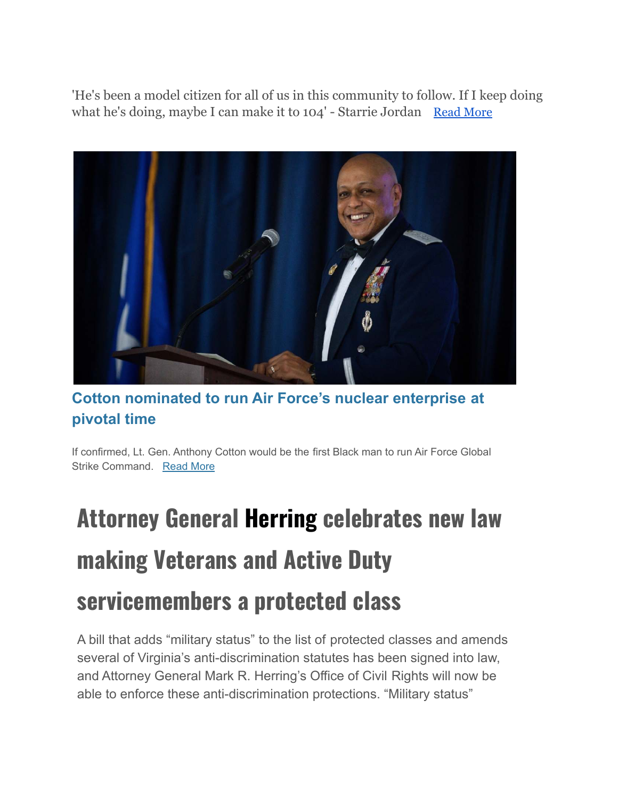'He's been a model citizen for all of us in this community to follow. If I keep doing what he's doing, maybe I can make it to 104' - Starrie Jordan [Read More](https://www.progress-index.com/story/news/2021/07/12/centenarian-us-army-ret-lt-louis-frazier-martin-turns-104-chesterfield-virginia-birthday-party/7876606002/?utm_source=progress-index-Daily%20Briefing&utm_medium=email&utm_campaign=daily_briefing&utm_term=hero&utm_content=VIRGINIA-PETERSBURG-NLETTER65)



#### **[Cotton nominated to run Air Force's nuclear enterprise at](https://link.militarytimes.com/click/24258610.20743/aHR0cHM6Ly93d3cubWlsaXRhcnl0aW1lcy5jb20vbmV3cy95b3VyLWFpci1mb3JjZS8yMDIxLzA2LzI0L2NvdHRvbi1ub21pbmF0ZWQtdG8tcnVuLWFpci1mb3JjZXMtbnVjbGVhci1lbnRlcnByaXNlLWF0LXBpdm90YWwtdGltZQ/5ea06ee4e5e3a06f9d01b786B8761749b) [pivotal time](https://link.militarytimes.com/click/24258610.20743/aHR0cHM6Ly93d3cubWlsaXRhcnl0aW1lcy5jb20vbmV3cy95b3VyLWFpci1mb3JjZS8yMDIxLzA2LzI0L2NvdHRvbi1ub21pbmF0ZWQtdG8tcnVuLWFpci1mb3JjZXMtbnVjbGVhci1lbnRlcnByaXNlLWF0LXBpdm90YWwtdGltZQ/5ea06ee4e5e3a06f9d01b786B8761749b)**

If confirmed, Lt. Gen. Anthony Cotton would be the first Black man to run Air Force Global Strike Command. [Read More](https://link.militarytimes.com/click/24258610.20743/aHR0cHM6Ly93d3cubWlsaXRhcnl0aW1lcy5jb20vbmV3cy95b3VyLWFpci1mb3JjZS8yMDIxLzA2LzI0L2NvdHRvbi1ub21pbmF0ZWQtdG8tcnVuLWFpci1mb3JjZXMtbnVjbGVhci1lbnRlcnByaXNlLWF0LXBpdm90YWwtdGltZQ/5ea06ee4e5e3a06f9d01b786C8761749b)

# **Attorney General Herring celebrates new law making Veterans and Active Duty servicemembers a protected class**

A bill that adds "military status" to the list of protected classes and amends several of Virginia's anti-discrimination statutes has been signed into law, and Attorney General Mark R. Herring's Office of Civil Rights will now be able to enforce these anti-discrimination protections. "Military status"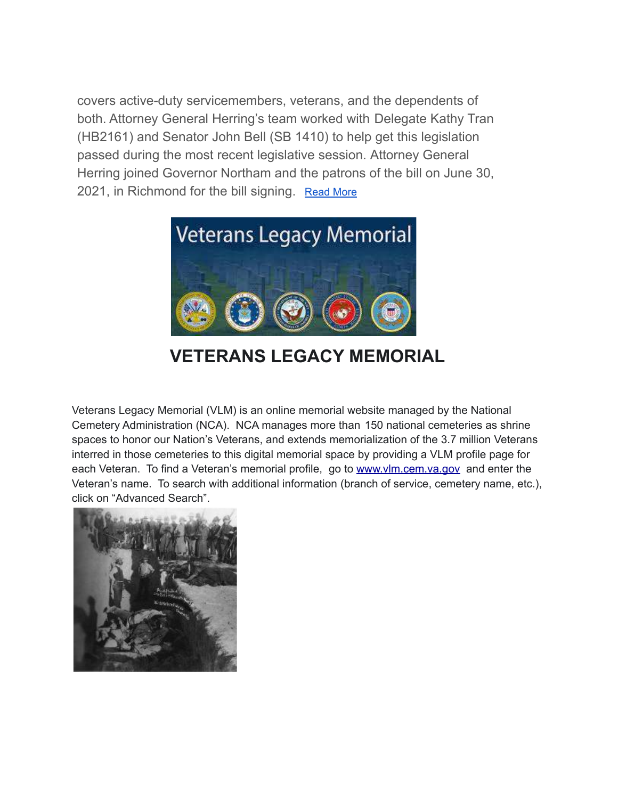covers active-duty servicemembers, veterans, and the dependents of both. Attorney General Herring's team worked with Delegate Kathy Tran (HB2161) and Senator John Bell (SB 1410) to help get this legislation passed during the most recent legislative session. Attorney General Herring joined Governor Northam and the patrons of the bill on June 30, 2021, in Richmond for the bill signing. [Read More](https://royalexaminer.com/attorney-general-herring-celebrates-new-law-making-veterans-and-active-duty-servicemembers-a-protected-class/)



### **VETERANS LEGACY MEMORIAL**

Veterans Legacy Memorial (VLM) is an online memorial website managed by the National Cemetery Administration (NCA). NCA manages more than 150 national cemeteries as shrine spaces to honor our Nation's Veterans, and extends memorialization of the 3.7 million Veterans interred in those cemeteries to this digital memorial space by providing a VLM profile page for each Veteran. To find a Veteran's memorial profile, go to [www.vlm.cem.va.gov](http://www.vlm.cem.va.gov) and enter the Veteran's name. To search with additional information (branch of service, cemetery name, etc.), click on "Advanced Search".

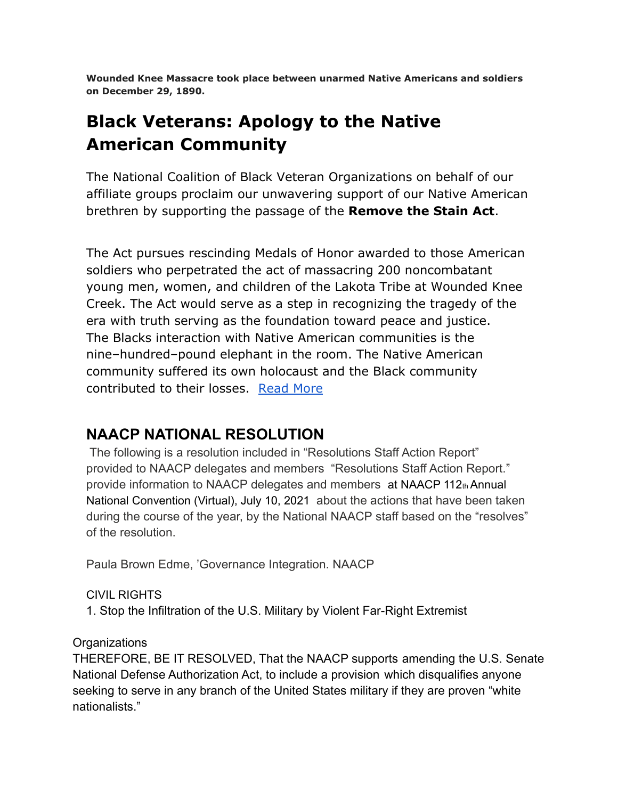**Wounded Knee Massacre took place between unarmed Native Americans and soldiers on December 29, 1890.**

## **[Black Veterans: Apology to the Native](https://r20.rs6.net/tn.jsp?f=001kdLhVz1aOxIzHD5jZ_fPJYFbzqUADDWs9Ik52G-0RfNL3HqsbIpKJWT6kDidWaOpjcP0Wfe8FSJTYA5_N21-uaGsD6NtWXbA7eyakD-HeOAICavu__jx7xSi5PNRZUspcG5I4TLRZr1NQ1ZyYFEogdBMyP07K-NxRZeYcbZI1paTikQ-ASytrLFtSzE9P9drq02xyvRDj_FxDiaF8yJUEAV2T16ZDSQf&c=CdOOYrAFFt3enmD90XUN7A1z7ctFiCp46KJ3nTeeKcZ2BFN7nRTbqA==&ch=A3PwO5j5ILm7DEDfvGumoPptsxOAa41IgJDWIa5q4GqQ10PRqw8lXQ==) [American Community](https://r20.rs6.net/tn.jsp?f=001kdLhVz1aOxIzHD5jZ_fPJYFbzqUADDWs9Ik52G-0RfNL3HqsbIpKJWT6kDidWaOpjcP0Wfe8FSJTYA5_N21-uaGsD6NtWXbA7eyakD-HeOAICavu__jx7xSi5PNRZUspcG5I4TLRZr1NQ1ZyYFEogdBMyP07K-NxRZeYcbZI1paTikQ-ASytrLFtSzE9P9drq02xyvRDj_FxDiaF8yJUEAV2T16ZDSQf&c=CdOOYrAFFt3enmD90XUN7A1z7ctFiCp46KJ3nTeeKcZ2BFN7nRTbqA==&ch=A3PwO5j5ILm7DEDfvGumoPptsxOAa41IgJDWIa5q4GqQ10PRqw8lXQ==)**

The National Coalition of Black Veteran Organizations on behalf of our affiliate groups proclaim our unwavering support of our Native American brethren by supporting the passage of the **[Remove the Stain Act](https://www.congress.gov/bill/116th-congress/house-bill/3467/text)**.

The Act pursues rescinding Medals of Honor awarded to those American soldiers who perpetrated the act of massacring 200 noncombatant young men, women, and children of the Lakota Tribe at Wounded Knee Creek. The Act would serve as a step in recognizing the tragedy of the era with truth serving as the foundation toward peace and justice. The Blacks interaction with Native American communities is the nine–hundred–pound elephant in the room. The Native American community suffered its own holocaust and the Black community contributed to their losses. [Read More](https://portofharlem.net/snippets21/jun302021-black-apology-to-native-americans.html)

#### **NAACP NATIONAL RESOLUTION**

The following is a resolution included in "Resolutions Staff Action Report" provided to NAACP delegates and members "Resolutions Staff Action Report." provide information to NAACP delegates and members at NAACP 112th Annual National Convention (Virtual), July 10, 2021 about the actions that have been taken during the course of the year, by the National NAACP staff based on the "resolves" of the resolution.

Paula Brown Edme, 'Governance Integration. NAACP

CIVIL RIGHTS

1. Stop the Infiltration of the U.S. Military by Violent Far-Right Extremist

**Organizations** 

THEREFORE, BE IT RESOLVED, That the NAACP supports amending the U.S. Senate National Defense Authorization Act, to include a provision which disqualifies anyone seeking to serve in any branch of the United States military if they are proven "white nationalists."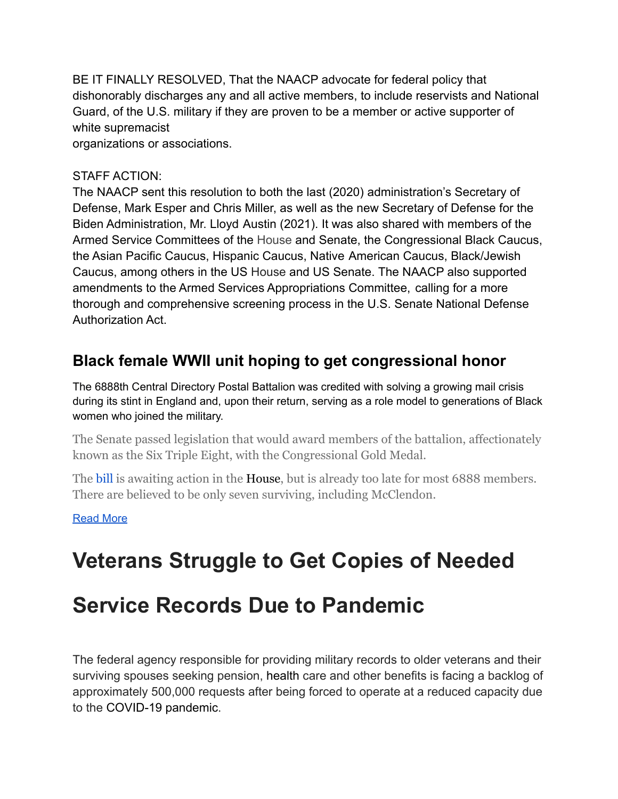BE IT FINALLY RESOLVED, That the NAACP advocate for federal policy that dishonorably discharges any and all active members, to include reservists and National Guard, of the U.S. military if they are proven to be a member or active supporter of white supremacist

organizations or associations.

#### STAFF ACTION:

The NAACP sent this resolution to both the last (2020) administration's Secretary of Defense, Mark Esper and Chris Miller, as well as the new Secretary of Defense for the Biden Administration, Mr. Lloyd Austin (2021). It was also shared with members of the Armed Service Committees of the House and Senate, the Congressional Black Caucus, the Asian Pacific Caucus, Hispanic Caucus, Native American Caucus, Black/Jewish Caucus, among others in the US House and US Senate. The NAACP also supported amendments to the Armed Services Appropriations Committee, calling for a more thorough and comprehensive screening process in the U.S. Senate National Defense Authorization Act.

#### **[Black female WWII unit hoping to get congressional honor](https://link.militarytimes.com/click/24444726.101925/aHR0cHM6Ly93d3cubWlsaXRhcnl0aW1lcy5jb20vbmV3cy9wZW50YWdvbi1jb25ncmVzcy8yMDIxLzA3LzEzL2JsYWNrLWZlbWFsZS13d2lpLXVuaXQtaG9waW5nLXRvLWdldC1jb25ncmVzc2lvbmFsLWhvbm9yLw/5ea06ee4e5e3a06f9d01b786Bc2e46198)**

[The 6888th Central Directory Postal Battalion was credited with solving a growing mail crisis](https://link.militarytimes.com/click/24444726.101925/aHR0cHM6Ly93d3cubWlsaXRhcnl0aW1lcy5jb20vbmV3cy9wZW50YWdvbi1jb25ncmVzcy8yMDIxLzA3LzEzL2JsYWNrLWZlbWFsZS13d2lpLXVuaXQtaG9waW5nLXRvLWdldC1jb25ncmVzc2lvbmFsLWhvbm9yLw/5ea06ee4e5e3a06f9d01b786Cc2e46198) [during its stint in England and, upon their return, serving as a role model to generations of Black](https://link.militarytimes.com/click/24444726.101925/aHR0cHM6Ly93d3cubWlsaXRhcnl0aW1lcy5jb20vbmV3cy9wZW50YWdvbi1jb25ncmVzcy8yMDIxLzA3LzEzL2JsYWNrLWZlbWFsZS13d2lpLXVuaXQtaG9waW5nLXRvLWdldC1jb25ncmVzc2lvbmFsLWhvbm9yLw/5ea06ee4e5e3a06f9d01b786Cc2e46198) [women who joined the military.](https://link.militarytimes.com/click/24444726.101925/aHR0cHM6Ly93d3cubWlsaXRhcnl0aW1lcy5jb20vbmV3cy9wZW50YWdvbi1jb25ncmVzcy8yMDIxLzA3LzEzL2JsYWNrLWZlbWFsZS13d2lpLXVuaXQtaG9waW5nLXRvLWdldC1jb25ncmVzc2lvbmFsLWhvbm9yLw/5ea06ee4e5e3a06f9d01b786Cc2e46198)

The Senate passed legislation that would award members of the battalion, affectionately known as the Six Triple Eight, with the Congressional Gold Medal.

The [bill](https://www.google.com/search?tbm=isch&q=bill) is awaiting action in the [House,](https://www.google.com/search?tbm=isch&q=House) but is already too late for most 6888 members. There are believed to be only seven surviving, including McClendon.

#### [Read More](https://www.militarytimes.com/news/pentagon-congress/2021/07/13/black-female-wwii-unit-hoping-to-get-congressional-honor/?utm_source=Sailthru&utm_medium=email&utm_campaign=EBB%2007.14.21&utm_term=Editorial%20-%20Military%20-%20Early%20Bird%20Brief)

## **Veterans Struggle to Get Copies of Needed**

## **Service Records Due to Pandemic**

The federal agency responsible for providing military records to older veterans and their surviving spouses seeking pension, [health](https://www.google.com/search?tbm=isch&q=health) care and other benefits is facing a backlog of approximately 500,000 requests after being forced to operate at a reduced capacity due to the [COVID-19 pandemic](https://www.aarp.org/health/conditions-treatments/info-2020/coronavirus-facts.html).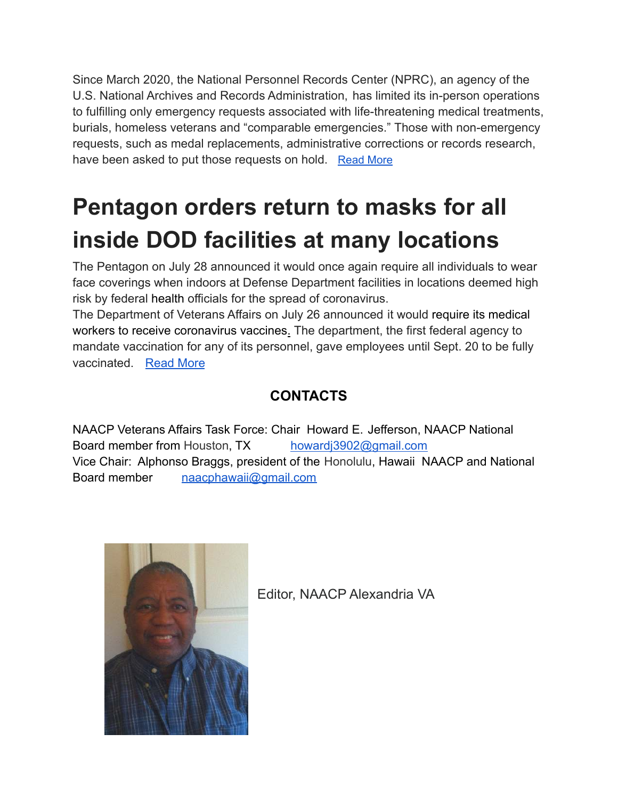Since March 2020, the National Personnel Records Center (NPRC), an agency of the U.S. National Archives and Records Administration, has limited its in-person operations to fulfilling only emergency requests associated with life-threatening medical treatments, burials, homeless veterans and "comparable emergencies." Those with non-emergency requests, such as medal replacements, administrative corrections or records research, have been asked to put those requests on hold. [Read More](https://www.aarp.org/home-family/voices/veterans/info-2021/military-service-records-delay.html?intcmp=AE-HF-VC-VET-BB)

# **Pentagon orders return to masks for all inside DOD facilities at many locations**

The Pentagon on July 28 announced it would once again require all individuals to wear face coverings when indoors at Defense Department facilities in locations deemed high risk by federal [health](https://www.google.com/search?tbm=isch&q=health) officials for the spread of coronavirus.

The Department of Veterans Affairs on July 26 announced it would [require its medical](https://www.stripes.com/veterans/2021-07-26/veterans-affairs-coronavirus-vaccine-mandate-mcdonough-2320688.html) [workers to receive coronavirus vaccines.](https://www.stripes.com/veterans/2021-07-26/veterans-affairs-coronavirus-vaccine-mandate-mcdonough-2320688.html) The department, the first federal agency to mandate vaccination for any of its personnel, gave employees until Sept. 20 to be fully vaccinated. [Read More](https://www.stripes.com/covid/2021-07-28/coronavirus-masks-vaccines-defense-department-2348482.html?utm_source=Stars+and+Stripes+Emails&utm_campaign=Daily+Headlines&utm_medium=email&utm_source=Stars+and+Stripes+Emails&utm_campaign=d297785df5-Newsletter+-+Daily+Headlines&utm_medium=email&utm_term=0_0ab8697a7f-d297785df5-296243673)

#### **CONTACTS**

NAACP Veterans Affairs Task Force: Chair Howard E. Jefferson, NAACP National Board member from Houston, TX [howardj3902@gmail.com](mailto:howardj3902@gmail.com) Vice Chair: Alphonso Braggs, president of the Honolulu, Hawaii NAACP and National Board member [naacphawaii@gmail.com](mailto:naacphawaii@gmail.com)



Editor, NAACP Alexandria VA